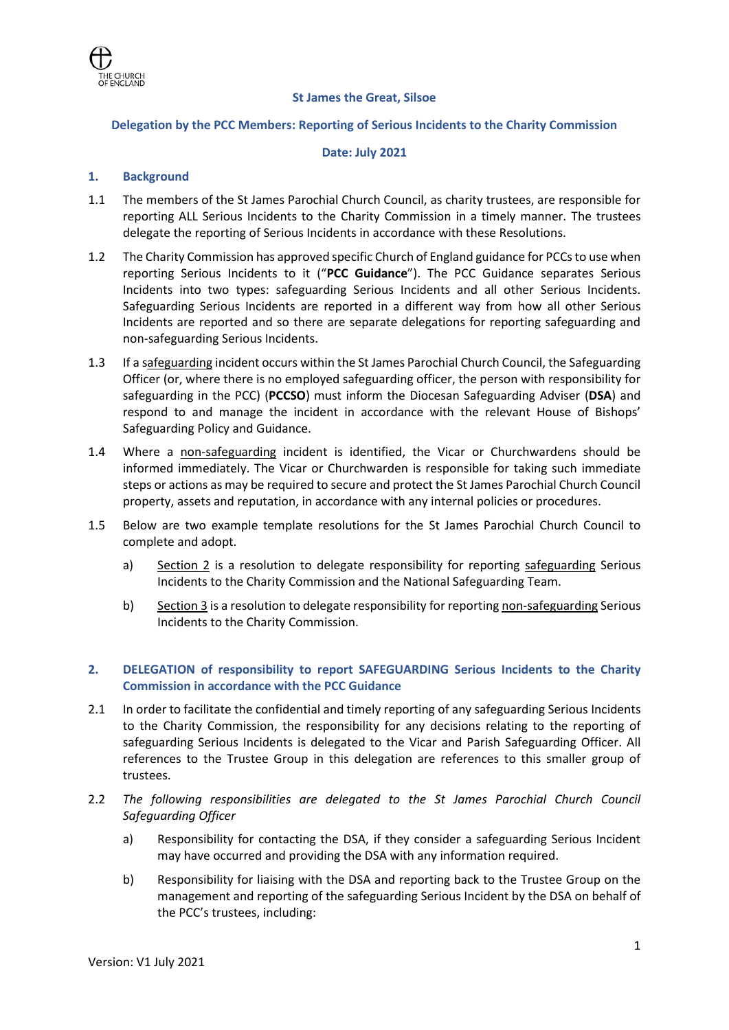

## **St James the Great, Silsoe**

### **Delegation by the PCC Members: Reporting of Serious Incidents to the Charity Commission**

#### **Date: July 2021**

### **1. Background**

- 1.1 The members of the St James Parochial Church Council, as charity trustees, are responsible for reporting ALL Serious Incidents to the Charity Commission in a timely manner. The trustees delegate the reporting of Serious Incidents in accordance with these Resolutions.
- 1.2 The Charity Commission has approved specific Church of England guidance for PCCs to use when reporting Serious Incidents to it ("**PCC Guidance**"). The PCC Guidance separates Serious Incidents into two types: safeguarding Serious Incidents and all other Serious Incidents. Safeguarding Serious Incidents are reported in a different way from how all other Serious Incidents are reported and so there are separate delegations for reporting safeguarding and non-safeguarding Serious Incidents.
- 1.3 If a safeguarding incident occurs within the St James Parochial Church Council, the Safeguarding Officer (or, where there is no employed safeguarding officer, the person with responsibility for safeguarding in the PCC) (**PCCSO**) must inform the Diocesan Safeguarding Adviser (**DSA**) and respond to and manage the incident in accordance with the relevant House of Bishops' Safeguarding Policy and Guidance.
- 1.4 Where a non-safeguarding incident is identified, the Vicar or Churchwardens should be informed immediately. The Vicar or Churchwarden is responsible for taking such immediate steps or actions as may be required to secure and protect the St James Parochial Church Council property, assets and reputation, in accordance with any internal policies or procedures.
- 1.5 Below are two example template resolutions for the St James Parochial Church Council to complete and adopt.
	- a) Section 2 is a resolution to delegate responsibility for reporting safeguarding Serious Incidents to the Charity Commission and the National Safeguarding Team.
	- b) Section 3 is a resolution to delegate responsibility for reporting non-safeguarding Serious Incidents to the Charity Commission.

## **2. DELEGATION of responsibility to report SAFEGUARDING Serious Incidents to the Charity Commission in accordance with the PCC Guidance**

- 2.1 In order to facilitate the confidential and timely reporting of any safeguarding Serious Incidents to the Charity Commission, the responsibility for any decisions relating to the reporting of safeguarding Serious Incidents is delegated to the Vicar and Parish Safeguarding Officer. All references to the Trustee Group in this delegation are references to this smaller group of trustees.
- 2.2 *The following responsibilities are delegated to the St James Parochial Church Council Safeguarding Officer*
	- a) Responsibility for contacting the DSA, if they consider a safeguarding Serious Incident may have occurred and providing the DSA with any information required.
	- b) Responsibility for liaising with the DSA and reporting back to the Trustee Group on the management and reporting of the safeguarding Serious Incident by the DSA on behalf of the PCC's trustees, including: